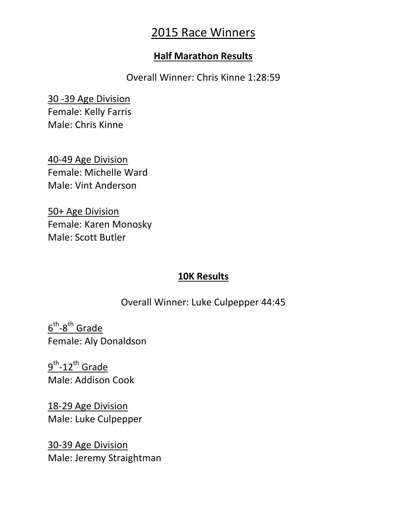# 2015 Race Winners

#### **Half Marathon Results**

Overall Winner: Chris Kinne 1:28:59

30 -39 Age Division Female: Kelly Farris Male: Chris Kinne

40-49 Age Division Female: Michelle Ward Male: Vint Anderson

50+ Age Division Female: Karen Monosky Male: Scott Butler

### **10K Results**

Overall Winner: Luke Culpepper 44:45

 $6^{th}$ -8<sup>th</sup> Grade Female: Aly Donaldson

 $9^{th}$ -12<sup>th</sup> Grade Male: Addison Cook

18-29 Age Division Male: Luke Culpepper

30-39 Age Division Male: Jeremy Straightman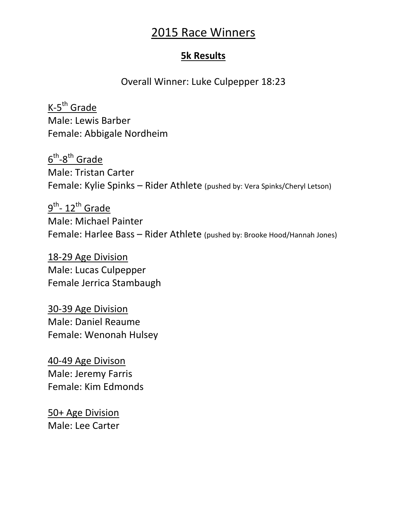# 2015 Race Winners

### **5k Results**

Overall Winner: Luke Culpepper 18:23

 $K-5^{th}$  Grade Male: Lewis Barber Female: Abbigale Nordheim

 $6^{th}$ -8<sup>th</sup> Grade Male: Tristan Carter Female: Kylie Spinks – Rider Athlete (pushed by: Vera Spinks/Cheryl Letson)

 $9^{th}$ - 12<sup>th</sup> Grade Male: Michael Painter Female: Harlee Bass – Rider Athlete (pushed by: Brooke Hood/Hannah Jones)

18-29 Age Division Male: Lucas Culpepper Female Jerrica Stambaugh

30-39 Age Division Male: Daniel Reaume Female: Wenonah Hulsey

40-49 Age Divison Male: Jeremy Farris Female: Kim Edmonds

50+ Age Division Male: Lee Carter